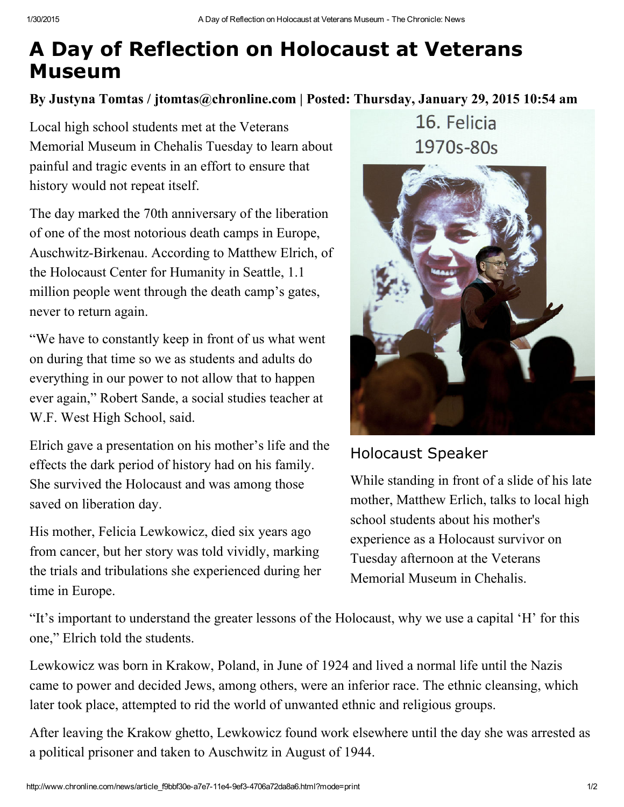## A Day of Reflection on Holocaust at Veterans Museum

By Justyna Tomtas / jtomtas@chronline.com | Posted: Thursday, January 29, 2015 10:54 am

Local high school students met at the Veterans Memorial Museum in Chehalis Tuesday to learn about painful and tragic events in an effort to ensure that history would not repeat itself.

The day marked the 70th anniversary of the liberation of one of the most notorious death camps in Europe, Auschwitz-Birkenau. According to Matthew Elrich, of the Holocaust Center for Humanity in Seattle, 1.1 million people went through the death camp's gates, never to return again.

"We have to constantly keep in front of us what went on during that time so we as students and adults do everything in our power to not allow that to happen ever again," Robert Sande, a social studies teacher at W.F. West High School, said.

Elrich gave a presentation on his mother's life and the effects the dark period of history had on his family. She survived the Holocaust and was among those saved on liberation day.

His mother, Felicia Lewkowicz, died six years ago from cancer, but her story was told vividly, marking the trials and tribulations she experienced during her time in Europe.

16. Felicia 1970s-80s



## Holocaust Speaker

While standing in front of a slide of his late mother, Matthew Erlich, talks to local high school students about his mother's experience as a Holocaust survivor on Tuesday afternoon at the Veterans Memorial Museum in Chehalis.

"It's important to understand the greater lessons of the Holocaust, why we use a capital 'H' for this one," Elrich told the students.

Lewkowicz was born in Krakow, Poland, in June of 1924 and lived a normal life until the Nazis came to power and decided Jews, among others, were an inferior race. The ethnic cleansing, which later took place, attempted to rid the world of unwanted ethnic and religious groups.

After leaving the Krakow ghetto, Lewkowicz found work elsewhere until the day she was arrested as a political prisoner and taken to Auschwitz in August of 1944.